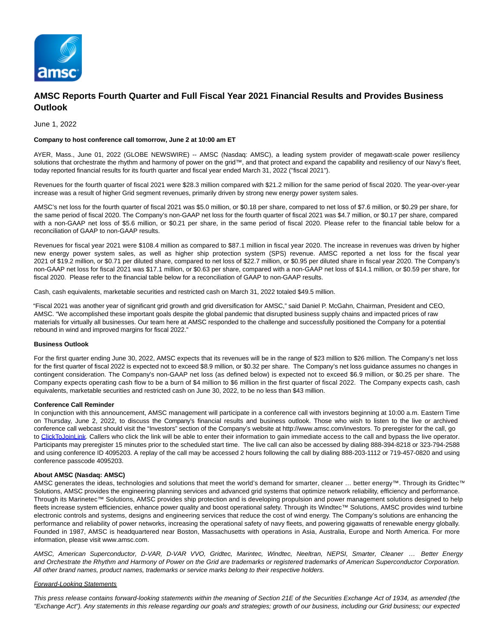

# **AMSC Reports Fourth Quarter and Full Fiscal Year 2021 Financial Results and Provides Business Outlook**

June 1, 2022

### **Company to host conference call tomorrow, June 2 at 10:00 am ET**

AYER, Mass., June 01, 2022 (GLOBE NEWSWIRE) -- AMSC (Nasdaq: AMSC), a leading system provider of megawatt-scale power resiliency solutions that orchestrate the rhythm and harmony of power on the grid™, and that protect and expand the capability and resiliency of our Navy's fleet, today reported financial results for its fourth quarter and fiscal year ended March 31, 2022 ("fiscal 2021").

Revenues for the fourth quarter of fiscal 2021 were \$28.3 million compared with \$21.2 million for the same period of fiscal 2020. The year-over-year increase was a result of higher Grid segment revenues, primarily driven by strong new energy power system sales.

AMSC's net loss for the fourth quarter of fiscal 2021 was \$5.0 million, or \$0.18 per share, compared to net loss of \$7.6 million, or \$0.29 per share, for the same period of fiscal 2020. The Company's non-GAAP net loss for the fourth quarter of fiscal 2021 was \$4.7 million, or \$0.17 per share, compared with a non-GAAP net loss of \$5.6 million, or \$0.21 per share, in the same period of fiscal 2020. Please refer to the financial table below for a reconciliation of GAAP to non-GAAP results.

Revenues for fiscal year 2021 were \$108.4 million as compared to \$87.1 million in fiscal year 2020. The increase in revenues was driven by higher new energy power system sales, as well as higher ship protection system (SPS) revenue. AMSC reported a net loss for the fiscal year 2021 of \$19.2 million, or \$0.71 per diluted share, compared to net loss of \$22.7 million, or \$0.95 per diluted share in fiscal year 2020. The Company's non-GAAP net loss for fiscal 2021 was \$17.1 million, or \$0.63 per share, compared with a non-GAAP net loss of \$14.1 million, or \$0.59 per share, for fiscal 2020. Please refer to the financial table below for a reconciliation of GAAP to non-GAAP results.

Cash, cash equivalents, marketable securities and restricted cash on March 31, 2022 totaled \$49.5 million.

"Fiscal 2021 was another year of significant grid growth and grid diversification for AMSC," said Daniel P. McGahn, Chairman, President and CEO, AMSC. "We accomplished these important goals despite the global pandemic that disrupted business supply chains and impacted prices of raw materials for virtually all businesses. Our team here at AMSC responded to the challenge and successfully positioned the Company for a potential rebound in wind and improved margins for fiscal 2022."

### **Business Outlook**

For the first quarter ending June 30, 2022, AMSC expects that its revenues will be in the range of \$23 million to \$26 million. The Company's net loss for the first quarter of fiscal 2022 is expected not to exceed \$8.9 million, or \$0.32 per share. The Company's net loss guidance assumes no changes in contingent consideration. The Company's non-GAAP net loss (as defined below) is expected not to exceed \$6.9 million, or \$0.25 per share. The Company expects operating cash flow to be a burn of \$4 million to \$6 million in the first quarter of fiscal 2022. The Company expects cash, cash equivalents, marketable securities and restricted cash on June 30, 2022, to be no less than \$43 million.

### **Conference Call Reminder**

In conjunction with this announcement, AMSC management will participate in a conference call with investors beginning at 10:00 a.m. Eastern Time on Thursday, June 2, 2022, to discuss the Company's financial results and business outlook. Those who wish to listen to the live or archived conference call webcast should visit the "Investors" section of the Company's website at http://www.amsc.com/investors. To preregister for the call, go to [ClickToJoinLink.](https://www.globenewswire.com/Tracker?data=GzYFEsdkcRySf6jmh7nIcBu6ZwjxH5f-CUM860QD67Offk5M_X1MvJuPmeKWVEZ6pJwMjfBW5Cft9eKVQh-m8aYe-v4NerqnVtk7TKAYLy5iVtVeLqxNkwdG3LOVu0IizooQk-t4HkzJ9JfH-BPnQoSKx10YQRQh94oFXh5Iw4ZnQ988c7Jx0G3h5bzN7Y3l7jnnErVqShdT93IAYCnR4fqN6rPU8rWcy0cFlAqj0J8=) Callers who click the link will be able to enter their information to gain immediate access to the call and bypass the live operator. Participants may preregister 15 minutes prior to the scheduled start time. The live call can also be accessed by dialing 888-394-8218 or 323-794-2588 and using conference ID 4095203. A replay of the call may be accessed 2 hours following the call by dialing 888-203-1112 or 719-457-0820 and using conference passcode 4095203.

### **About AMSC (Nasdaq: AMSC)**

AMSC generates the ideas, technologies and solutions that meet the world's demand for smarter, cleaner ... better energy™. Through its Gridtec™ Solutions, AMSC provides the engineering planning services and advanced grid systems that optimize network reliability, efficiency and performance. Through its Marinetec™ Solutions, AMSC provides ship protection and is developing propulsion and power management solutions designed to help fleets increase system efficiencies, enhance power quality and boost operational safety. Through its Windtec™ Solutions, AMSC provides wind turbine electronic controls and systems, designs and engineering services that reduce the cost of wind energy. The Company's solutions are enhancing the performance and reliability of power networks, increasing the operational safety of navy fleets, and powering gigawatts of renewable energy globally. Founded in 1987, AMSC is headquartered near Boston, Massachusetts with operations in Asia, Australia, Europe and North America. For more information, please visit www.amsc.com.

AMSC, American Superconductor, D-VAR, D-VAR VVO, Gridtec, Marintec, Windtec, Neeltran, NEPSI, Smarter, Cleaner … Better Energy and Orchestrate the Rhythm and Harmony of Power on the Grid are trademarks or registered trademarks of American Superconductor Corporation. All other brand names, product names, trademarks or service marks belong to their respective holders.

### Forward-Looking Statements

This press release contains forward-looking statements within the meaning of Section 21E of the Securities Exchange Act of 1934, as amended (the "Exchange Act"). Any statements in this release regarding our goals and strategies; growth of our business, including our Grid business; our expected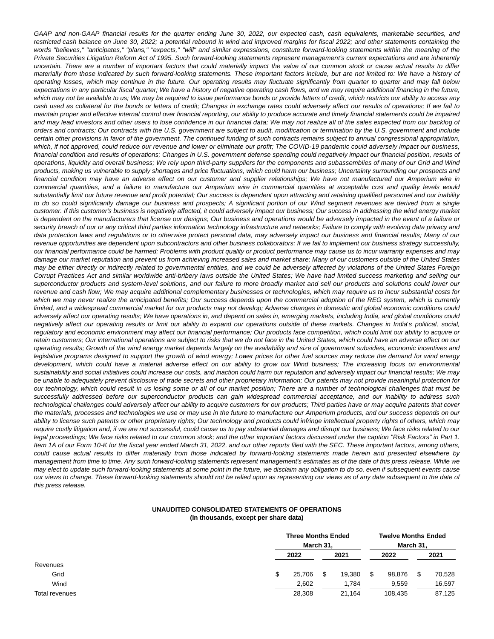GAAP and non-GAAP financial results for the quarter ending June 30, 2022, our expected cash, cash equivalents, marketable securities, and restricted cash balance on June 30, 2022; a potential rebound in wind and improved margins for fiscal 2022; and other statements containing the words "believes," "anticipates," "plans," "expects," "will" and similar expressions, constitute forward-looking statements within the meaning of the Private Securities Litigation Reform Act of 1995. Such forward-looking statements represent management's current expectations and are inherently uncertain. There are a number of important factors that could materially impact the value of our common stock or cause actual results to differ materially from those indicated by such forward-looking statements. These important factors include, but are not limited to: We have a history of operating losses, which may continue in the future. Our operating results may fluctuate significantly from quarter to quarter and may fall below expectations in any particular fiscal quarter; We have a history of negative operating cash flows, and we may require additional financing in the future, which may not be available to us; We may be required to issue performance bonds or provide letters of credit, which restricts our ability to access any cash used as collateral for the bonds or letters of credit; Changes in exchange rates could adversely affect our results of operations; If we fail to maintain proper and effective internal control over financial reporting, our ability to produce accurate and timely financial statements could be impaired and may lead investors and other users to lose confidence in our financial data; We may not realize all of the sales expected from our backlog of orders and contracts; Our contracts with the U.S. government are subject to audit, modification or termination by the U.S. government and include certain other provisions in favor of the government. The continued funding of such contracts remains subject to annual congressional appropriation, which, if not approved, could reduce our revenue and lower or eliminate our profit; The COVID-19 pandemic could adversely impact our business, financial condition and results of operations; Changes in U.S. government defense spending could negatively impact our financial position, results of operations, liquidity and overall business; We rely upon third-party suppliers for the components and subassemblies of many of our Grid and Wind products, making us vulnerable to supply shortages and price fluctuations, which could harm our business; Uncertainty surrounding our prospects and financial condition may have an adverse effect on our customer and supplier relationships; We have not manufactured our Amperium wire in commercial quantities, and a failure to manufacture our Amperium wire in commercial quantities at acceptable cost and quality levels would substantially limit our future revenue and profit potential; Our success is dependent upon attracting and retaining qualified personnel and our inability to do so could significantly damage our business and prospects; A significant portion of our Wind segment revenues are derived from a single customer. If this customer's business is negatively affected, it could adversely impact our business; Our success in addressing the wind energy market is dependent on the manufacturers that license our designs; Our business and operations would be adversely impacted in the event of a failure or security breach of our or any critical third parties information technology infrastructure and networks; Failure to comply with evolving data privacy and data protection laws and regulations or to otherwise protect personal data, may adversely impact our business and financial results; Many of our revenue opportunities are dependent upon subcontractors and other business collaborators; If we fail to implement our business strategy successfully, our financial performance could be harmed; Problems with product quality or product performance may cause us to incur warranty expenses and may damage our market reputation and prevent us from achieving increased sales and market share; Many of our customers outside of the United States may be either directly or indirectly related to governmental entities, and we could be adversely affected by violations of the United States Foreign Corrupt Practices Act and similar worldwide anti-bribery laws outside the United States; We have had limited success marketing and selling our superconductor products and system-level solutions, and our failure to more broadly market and sell our products and solutions could lower our revenue and cash flow; We may acquire additional complementary businesses or technologies, which may require us to incur substantial costs for which we may never realize the anticipated benefits; Our success depends upon the commercial adoption of the REG system, which is currently limited, and a widespread commercial market for our products may not develop; Adverse changes in domestic and global economic conditions could adversely affect our operating results; We have operations in, and depend on sales in, emerging markets, including India, and global conditions could negatively affect our operating results or limit our ability to expand our operations outside of these markets. Changes in India's political, social, regulatory and economic environment may affect our financial performance; Our products face competition, which could limit our ability to acquire or retain customers; Our international operations are subject to risks that we do not face in the United States, which could have an adverse effect on our operating results; Growth of the wind energy market depends largely on the availability and size of government subsidies, economic incentives and legislative programs designed to support the growth of wind energy; Lower prices for other fuel sources may reduce the demand for wind energy development, which could have a material adverse effect on our ability to grow our Wind business; The increasing focus on environmental sustainability and social initiatives could increase our costs, and inaction could harm our reputation and adversely impact our financial results; We may be unable to adequately prevent disclosure of trade secrets and other proprietary information; Our patents may not provide meaningful protection for our technology, which could result in us losing some or all of our market position; There are a number of technological challenges that must be successfully addressed before our superconductor products can gain widespread commercial acceptance, and our inability to address such technological challenges could adversely affect our ability to acquire customers for our products; Third parties have or may acquire patents that cover the materials, processes and technologies we use or may use in the future to manufacture our Amperium products, and our success depends on our ability to license such patents or other proprietary rights; Our technology and products could infringe intellectual property rights of others, which may require costly litigation and, if we are not successful, could cause us to pay substantial damages and disrupt our business; We face risks related to our legal proceedings; We face risks related to our common stock; and the other important factors discussed under the caption "Risk Factors" in Part 1. Item 1A of our Form 10-K for the fiscal year ended March 31, 2022, and our other reports filed with the SEC. These important factors, among others, could cause actual results to differ materially from those indicated by forward-looking statements made herein and presented elsewhere by management from time to time. Any such forward-looking statements represent management's estimates as of the date of this press release. While we may elect to update such forward-looking statements at some point in the future, we disclaim any obligation to do so, even if subsequent events cause our views to change. These forward-looking statements should not be relied upon as representing our views as of any date subsequent to the date of this press release.

### **UNAUDITED CONSOLIDATED STATEMENTS OF OPERATIONS (In thousands, except per share data)**

|                | <b>Three Months Ended</b><br>March 31, |        |   |        |   | <b>Twelve Months Ended</b><br>March 31, |    |        |
|----------------|----------------------------------------|--------|---|--------|---|-----------------------------------------|----|--------|
|                |                                        | 2022   |   | 2021   |   | 2022                                    |    | 2021   |
| Revenues       |                                        |        |   |        |   |                                         |    |        |
| Grid           |                                        | 25,706 | S | 19.380 | S | 98,876                                  | \$ | 70,528 |
| Wind           |                                        | 2,602  |   | 1,784  |   | 9,559                                   |    | 16,597 |
| Total revenues |                                        | 28,308 |   | 21,164 |   | 108,435                                 |    | 87,125 |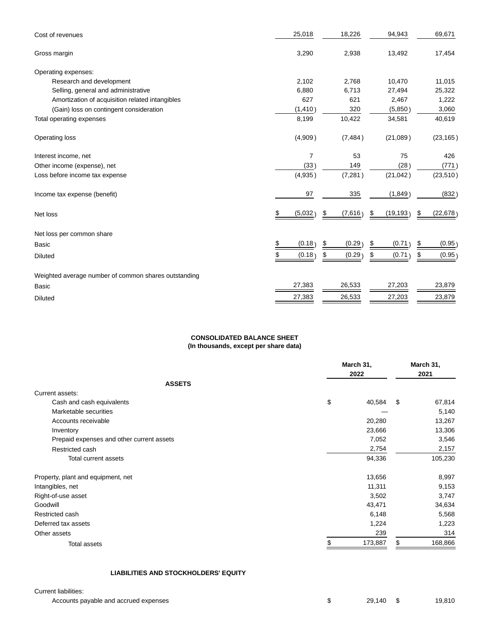| Cost of revenues                                     | 25,018         | 18,226        | 94,943          | 69,671                  |
|------------------------------------------------------|----------------|---------------|-----------------|-------------------------|
| Gross margin                                         | 3,290          | 2,938         | 13,492          | 17,454                  |
| Operating expenses:                                  |                |               |                 |                         |
| Research and development                             | 2,102          | 2,768         | 10,470          | 11,015                  |
| Selling, general and administrative                  | 6,880          | 6,713         | 27,494          | 25,322                  |
| Amortization of acquisition related intangibles      | 627            | 621           | 2,467           | 1,222                   |
| (Gain) loss on contingent consideration              | (1, 410)       | 320           | (5,850)         | 3,060                   |
| Total operating expenses                             | 8,199          | 10,422        | 34,581          | 40,619                  |
| Operating loss                                       | (4,909)        | (7, 484)      | (21,089)        | (23, 165)               |
| Interest income, net                                 | $\overline{7}$ | 53            | 75              | 426                     |
| Other income (expense), net                          | (33)           | 149           | (28)            | (771)                   |
| Loss before income tax expense                       | (4,935)        | (7, 281)      | (21, 042)       | (23, 510)               |
| Income tax expense (benefit)                         | 97             | 335           | (1,849)         | (832)                   |
| Net loss                                             | (5,032)<br>æ.  | (7,616)<br>\$ | (19, 193)<br>\$ | (22, 678)<br>\$         |
| Net loss per common share                            |                |               |                 |                         |
| Basic                                                | (0.18)<br>\$   | (0.29)<br>\$  | (0.71)<br>\$    | (0.95)<br>$\frac{1}{2}$ |
| <b>Diluted</b>                                       | \$<br>(0.18)   | \$<br>(0.29)  | \$<br>(0.71)    | \$<br>(0.95)            |
| Weighted average number of common shares outstanding |                |               |                 |                         |
| Basic                                                | 27,383         | 26,533        | 27,203          | 23,879                  |
| <b>Diluted</b>                                       | 27,383         | 26,533        | 27,203          | 23,879                  |

# **CONSOLIDATED BALANCE SHEET (In thousands, except per share data)**

|                                           | March 31,<br>2022 |         |    | March 31,<br>2021 |  |  |
|-------------------------------------------|-------------------|---------|----|-------------------|--|--|
| <b>ASSETS</b>                             |                   |         |    |                   |  |  |
| Current assets:                           |                   |         |    |                   |  |  |
| Cash and cash equivalents                 | \$                | 40,584  | \$ | 67,814            |  |  |
| Marketable securities                     |                   |         |    | 5,140             |  |  |
| Accounts receivable                       |                   | 20,280  |    | 13,267            |  |  |
| Inventory                                 |                   | 23,666  |    | 13,306            |  |  |
| Prepaid expenses and other current assets |                   | 7,052   |    | 3,546             |  |  |
| Restricted cash                           |                   | 2,754   |    | 2,157             |  |  |
| Total current assets                      |                   | 94,336  |    | 105,230           |  |  |
| Property, plant and equipment, net        |                   | 13,656  |    | 8,997             |  |  |
| Intangibles, net                          |                   | 11,311  |    | 9,153             |  |  |
| Right-of-use asset                        |                   | 3,502   |    | 3,747             |  |  |
| Goodwill                                  |                   | 43,471  |    | 34,634            |  |  |
| Restricted cash                           |                   | 6,148   |    | 5,568             |  |  |
| Deferred tax assets                       |                   | 1,224   |    | 1,223             |  |  |
| Other assets                              |                   | 239     |    | 314               |  |  |
| Total assets                              |                   | 173,887 | \$ | 168,866           |  |  |

# **LIABILITIES AND STOCKHOLDERS' EQUITY**

Current liabilities: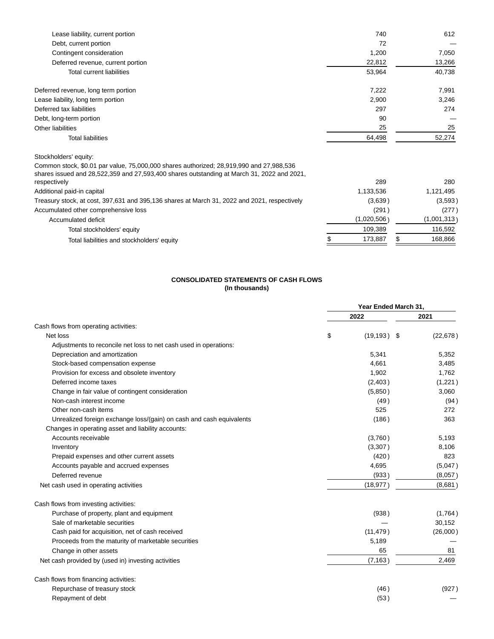| Lease liability, current portion    | 740    | 612    |
|-------------------------------------|--------|--------|
| Debt, current portion               | 72     |        |
| Contingent consideration            | 1,200  | 7,050  |
| Deferred revenue, current portion   | 22,812 | 13,266 |
| <b>Total current liabilities</b>    | 53,964 | 40,738 |
| Deferred revenue, long term portion | 7,222  | 7,991  |
| Lease liability, long term portion  | 2,900  | 3,246  |
| Deferred tax liabilities            | 297    | 274    |
| Debt, long-term portion             | 90     |        |
| Other liabilities                   | 25     | 25     |
| <b>Total liabilities</b>            | 64,498 | 52,274 |

Stockholders' equity:

Common stock, \$0.01 par value, 75,000,000 shares authorized; 28,919,990 and 27,988,536

shares issued and 28,522,359 and 27,593,400 shares outstanding at March 31, 2022 and 2021,

| respectively                                                                                 | 289         | 280         |
|----------------------------------------------------------------------------------------------|-------------|-------------|
| Additional paid-in capital                                                                   | 1,133,536   | 1,121,495   |
| Treasury stock, at cost, 397,631 and 395,136 shares at March 31, 2022 and 2021, respectively | (3,639)     | (3,593)     |
| Accumulated other comprehensive loss                                                         | (291)       | (277)       |
| Accumulated deficit                                                                          | (1,020,506) | (1,001,313) |
| Total stockholders' equity                                                                   | 109.389     | 116.592     |
| Total liabilities and stockholders' equity                                                   | 173.887     | 168.866     |
|                                                                                              |             |             |

# **CONSOLIDATED STATEMENTS OF CASH FLOWS (In thousands)**

|                                                                      | Year Ended March 31, |                |           |  |
|----------------------------------------------------------------------|----------------------|----------------|-----------|--|
|                                                                      |                      | 2022           | 2021      |  |
| Cash flows from operating activities:                                |                      |                |           |  |
| Net loss                                                             | \$                   | $(19, 193)$ \$ | (22, 678) |  |
| Adjustments to reconcile net loss to net cash used in operations:    |                      |                |           |  |
| Depreciation and amortization                                        |                      | 5,341          | 5,352     |  |
| Stock-based compensation expense                                     |                      | 4,661          | 3,485     |  |
| Provision for excess and obsolete inventory                          |                      | 1,902          | 1,762     |  |
| Deferred income taxes                                                |                      | (2, 403)       | (1,221)   |  |
| Change in fair value of contingent consideration                     |                      | (5,850)        | 3,060     |  |
| Non-cash interest income                                             |                      | (49)           | (94)      |  |
| Other non-cash items                                                 |                      | 525            | 272       |  |
| Unrealized foreign exchange loss/(gain) on cash and cash equivalents |                      | (186)          | 363       |  |
| Changes in operating asset and liability accounts:                   |                      |                |           |  |
| Accounts receivable                                                  |                      | (3,760)        | 5,193     |  |
| Inventory                                                            |                      | (3,307)        | 8,106     |  |
| Prepaid expenses and other current assets                            |                      | (420)          | 823       |  |
| Accounts payable and accrued expenses                                |                      | 4,695          | (5,047)   |  |
| Deferred revenue                                                     |                      | (933)          | (8,057)   |  |
| Net cash used in operating activities                                |                      | (18, 977)      | (8,681)   |  |
| Cash flows from investing activities:                                |                      |                |           |  |
| Purchase of property, plant and equipment                            |                      | (938)          | (1,764)   |  |
| Sale of marketable securities                                        |                      |                | 30,152    |  |
| Cash paid for acquisition, net of cash received                      |                      | (11, 479)      | (26,000)  |  |
| Proceeds from the maturity of marketable securities                  |                      | 5,189          |           |  |
| Change in other assets                                               |                      | 65             | 81        |  |
| Net cash provided by (used in) investing activities                  |                      | (7, 163)       | 2,469     |  |
| Cash flows from financing activities:                                |                      |                |           |  |
| Repurchase of treasury stock                                         |                      | (46)           | (927)     |  |
| Repayment of debt                                                    |                      | (53)           |           |  |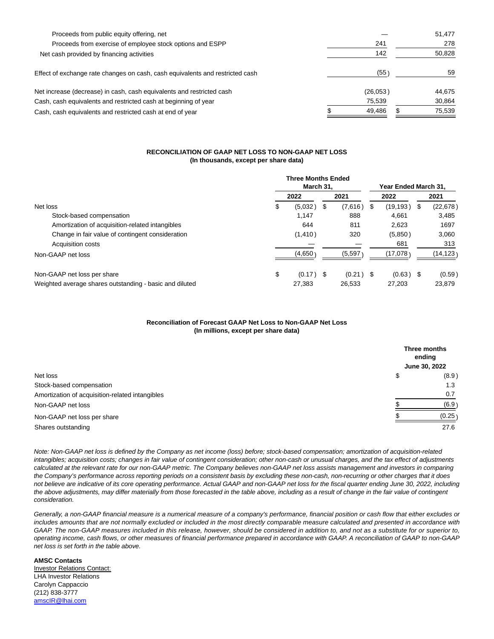| Proceeds from public equity offering, net                                     |          | 51,477 |
|-------------------------------------------------------------------------------|----------|--------|
| Proceeds from exercise of employee stock options and ESPP                     | 241      | 278    |
| Net cash provided by financing activities                                     | 142      | 50,828 |
| Effect of exchange rate changes on cash, cash equivalents and restricted cash | (55)     | 59     |
| Net increase (decrease) in cash, cash equivalents and restricted cash         | (26,053) | 44,675 |
| Cash, cash equivalents and restricted cash at beginning of year               | 75,539   | 30,864 |
| Cash, cash equivalents and restricted cash at end of year                     | 49,486   | 75,539 |

## **RECONCILIATION OF GAAP NET LOSS TO NON-GAAP NET LOSS (In thousands, except per share data)**

|                                                         |    | <b>Three Months Ended</b><br>March 31. |      |             |    | Year Ended March 31, |      |           |
|---------------------------------------------------------|----|----------------------------------------|------|-------------|----|----------------------|------|-----------|
|                                                         |    | 2022                                   |      | 2021        |    | 2022                 |      | 2021      |
| Net loss                                                | S  | (5,032)                                | \$   | (7,616)     | £. | (19, 193)            | - \$ | (22, 678) |
| Stock-based compensation                                |    | 1.147                                  |      | 888         |    | 4.661                |      | 3,485     |
| Amortization of acquisition-related intangibles         |    | 644                                    |      | 811         |    | 2.623                |      | 1697      |
| Change in fair value of contingent consideration        |    | (1, 410)                               |      | 320         |    | (5,850)              |      | 3,060     |
| Acquisition costs                                       |    |                                        |      |             |    | 681                  |      | 313       |
| Non-GAAP net loss                                       |    | (4,650)                                |      | (5,597)     |    | (17,078)             |      | (14, 123) |
| Non-GAAP net loss per share                             | \$ | (0.17)                                 | - \$ | $(0.21)$ \$ |    | $(0.63)$ \$          |      | (0.59)    |
| Weighted average shares outstanding - basic and diluted |    | 27.383                                 |      | 26.533      |    | 27.203               |      | 23.879    |

# **Reconciliation of Forecast GAAP Net Loss to Non-GAAP Net Loss (In millions, except per share data)**

|                                                 | Three months<br>ending<br>June 30, 2022 |
|-------------------------------------------------|-----------------------------------------|
| Net loss                                        | \$<br>(8.9)                             |
| Stock-based compensation                        | 1.3                                     |
| Amortization of acquisition-related intangibles | 0.7                                     |
| Non-GAAP net loss                               | (6.9)                                   |
| Non-GAAP net loss per share                     | (0.25)                                  |
| Shares outstanding                              | 27.6                                    |

Note: Non-GAAP net loss is defined by the Company as net income (loss) before; stock-based compensation; amortization of acquisition-related intangibles; acquisition costs; changes in fair value of contingent consideration; other non-cash or unusual charges, and the tax effect of adjustments calculated at the relevant rate for our non-GAAP metric. The Company believes non-GAAP net loss assists management and investors in comparing the Company's performance across reporting periods on a consistent basis by excluding these non-cash, non-recurring or other charges that it does not believe are indicative of its core operating performance. Actual GAAP and non-GAAP net loss for the fiscal quarter ending June 30, 2022, including the above adjustments, may differ materially from those forecasted in the table above, including as a result of change in the fair value of contingent consideration.

Generally, a non-GAAP financial measure is a numerical measure of a company's performance, financial position or cash flow that either excludes or includes amounts that are not normally excluded or included in the most directly comparable measure calculated and presented in accordance with GAAP. The non-GAAP measures included in this release, however, should be considered in addition to, and not as a substitute for or superior to, operating income, cash flows, or other measures of financial performance prepared in accordance with GAAP. A reconciliation of GAAP to non-GAAP net loss is set forth in the table above.

### **AMSC Contacts**

**Investor Relations Contact:** LHA Investor Relations Carolyn Cappaccio (212) 838-3777 [amscIR@lhai.com](https://www.globenewswire.com/Tracker?data=VWmnql2Ui0gATtpeN7e6CqxWk7-e3L2TBoUTjqSk8zCxae2Gik_lE9Aq7d7b_Z_W2fTZM6LBpq3rU31VBBqVkg==)